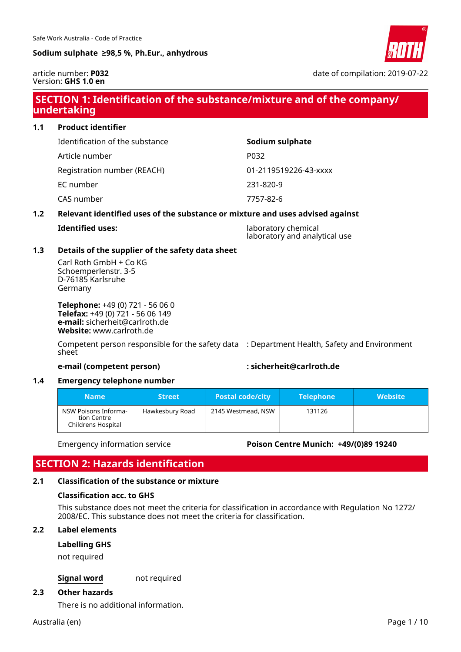

article number: **P032** Version: **GHS 1.0 en**

date of compilation: 2019-07-22

## **SECTION 1: Identification of the substance/mixture and of the company/ undertaking**

# **1.1 Product identifier** Identification of the substance **Sodium sulphate** Article number P032 Registration number (REACH) 01-2119519226-43-xxxx EC number 231-820-9 CAS number 7757-82-6

#### **1.2 Relevant identified uses of the substance or mixture and uses advised against**

| Identified uses: |  |
|------------------|--|
|------------------|--|

**Identified uses:** laboratory chemical laboratory and analytical use

#### **1.3 Details of the supplier of the safety data sheet**

Carl Roth GmbH + Co KG Schoemperlenstr. 3-5 D-76185 Karlsruhe Germany

**Telephone:** +49 (0) 721 - 56 06 0 **Telefax:** +49 (0) 721 - 56 06 149 **e-mail:** sicherheit@carlroth.de **Website:** www.carlroth.de

Competent person responsible for the safety data : Department Health, Safety and Environment sheet

#### **e-mail (competent person) : sicherheit@carlroth.de**

#### **1.4 Emergency telephone number**

| <b>Name</b>                                               | <b>Street</b>   | <b>Postal code/city</b> | <b>Telephone</b> | <b>Website</b> |
|-----------------------------------------------------------|-----------------|-------------------------|------------------|----------------|
| NSW Poisons Informa-<br>tion Centre<br>Childrens Hospital | Hawkesbury Road | 2145 Westmead, NSW      | 131126           |                |

#### Emergency information service **Poison Centre Munich: +49/(0)89 19240**

### **SECTION 2: Hazards identification**

#### **2.1 Classification of the substance or mixture**

#### **Classification acc. to GHS**

This substance does not meet the criteria for classification in accordance with Regulation No 1272/ 2008/EC. This substance does not meet the criteria for classification.

#### **2.2 Label elements**

#### **Labelling GHS**

not required

#### **Signal word** not required

#### **2.3 Other hazards**

There is no additional information.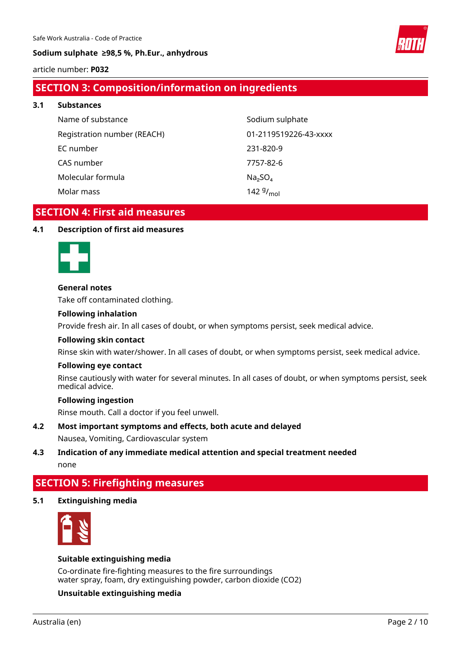

article number: **P032**

## **SECTION 3: Composition/information on ingredients**

**3.1 Substances** Name of substance Sodium sulphate Registration number (REACH) 01-2119519226-43-xxxx EC number 231-820-9 CAS number 7757-82-6 Molecular formula  $Na<sub>2</sub>SO<sub>4</sub>$ 142 $9/_{mol}$ 

Molar mass

## **SECTION 4: First aid measures**

#### **4.1 Description of first aid measures**



#### **General notes**

Take off contaminated clothing.

#### **Following inhalation**

Provide fresh air. In all cases of doubt, or when symptoms persist, seek medical advice.

#### **Following skin contact**

Rinse skin with water/shower. In all cases of doubt, or when symptoms persist, seek medical advice.

#### **Following eye contact**

Rinse cautiously with water for several minutes. In all cases of doubt, or when symptoms persist, seek medical advice.

#### **Following ingestion**

Rinse mouth. Call a doctor if you feel unwell.

#### **4.2 Most important symptoms and effects, both acute and delayed**

Nausea, Vomiting, Cardiovascular system

# **4.3 Indication of any immediate medical attention and special treatment needed**

none

# **SECTION 5: Firefighting measures**

### **5.1 Extinguishing media**



#### **Suitable extinguishing media**

Co-ordinate fire-fighting measures to the fire surroundings water spray, foam, dry extinguishing powder, carbon dioxide (CO2)

### **Unsuitable extinguishing media**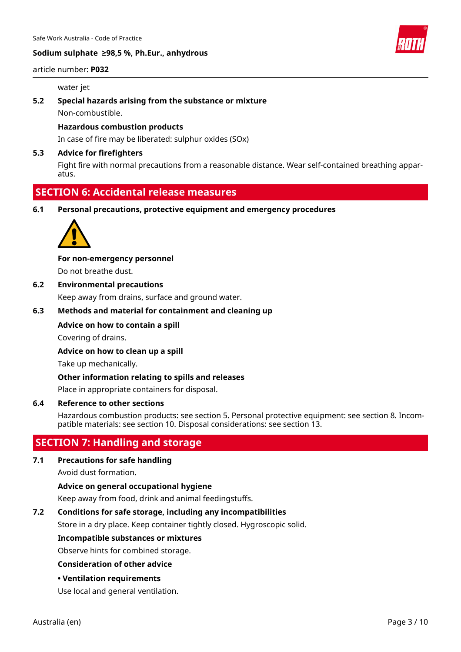

#### article number: **P032**

#### water jet

### **5.2 Special hazards arising from the substance or mixture** Non-combustible.

#### **Hazardous combustion products**

In case of fire may be liberated: sulphur oxides (SOx)

#### **5.3 Advice for firefighters**

Fight fire with normal precautions from a reasonable distance. Wear self-contained breathing apparatus.

### **SECTION 6: Accidental release measures**

**6.1 Personal precautions, protective equipment and emergency procedures**



#### **For non-emergency personnel**

Do not breathe dust.

### **6.2 Environmental precautions**

Keep away from drains, surface and ground water.

#### **6.3 Methods and material for containment and cleaning up**

#### **Advice on how to contain a spill**

Covering of drains.

**Advice on how to clean up a spill**

Take up mechanically.

#### **Other information relating to spills and releases**

Place in appropriate containers for disposal.

#### **6.4 Reference to other sections**

Hazardous combustion products: see section 5. Personal protective equipment: see section 8. Incompatible materials: see section 10. Disposal considerations: see section 13.

### **SECTION 7: Handling and storage**

### **7.1 Precautions for safe handling**

Avoid dust formation.

#### **Advice on general occupational hygiene**

Keep away from food, drink and animal feedingstuffs.

#### **7.2 Conditions for safe storage, including any incompatibilities**

Store in a dry place. Keep container tightly closed. Hygroscopic solid.

#### **Incompatible substances or mixtures**

Observe hints for combined storage.

#### **Consideration of other advice**

**• Ventilation requirements**

Use local and general ventilation.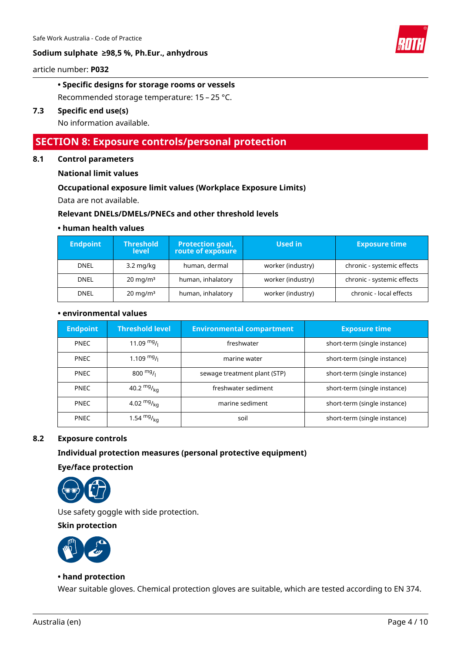

article number: **P032**

#### **• Specific designs for storage rooms or vessels**

Recommended storage temperature: 15 – 25 °C.

#### **7.3 Specific end use(s)**

No information available.

### **SECTION 8: Exposure controls/personal protection**

#### **8.1 Control parameters**

#### **National limit values**

#### **Occupational exposure limit values (Workplace Exposure Limits)**

Data are not available.

#### **Relevant DNELs/DMELs/PNECs and other threshold levels**

#### **• human health values**

| <b>Endpoint</b> | <b>Threshold</b><br>level | <b>Protection goal,</b><br>route of exposure | Used in           | <b>Exposure time</b>       |
|-----------------|---------------------------|----------------------------------------------|-------------------|----------------------------|
| <b>DNEL</b>     | $3.2 \text{ mg/kg}$       | human, dermal                                | worker (industry) | chronic - systemic effects |
| <b>DNEL</b>     | $20 \text{ mg/m}^3$       | human, inhalatory                            | worker (industry) | chronic - systemic effects |
| <b>DNEL</b>     | $20 \text{ mg/m}^3$       | human, inhalatory                            | worker (industry) | chronic - local effects    |

#### **• environmental values**

| <b>Endpoint</b> | <b>Threshold level</b>    | <b>Environmental compartment</b> | <b>Exposure time</b>         |
|-----------------|---------------------------|----------------------------------|------------------------------|
| <b>PNEC</b>     | 11.09 $mg/1$              | freshwater                       | short-term (single instance) |
| <b>PNEC</b>     | $1.109$ mg/ $\frac{1}{1}$ | marine water                     | short-term (single instance) |
| <b>PNEC</b>     | $800 \frac{mg}{l}$        | sewage treatment plant (STP)     | short-term (single instance) |
| <b>PNEC</b>     | 40.2 $mg/kq$              | freshwater sediment              | short-term (single instance) |
| <b>PNEC</b>     | 4.02 $mg/kq$              | marine sediment                  | short-term (single instance) |
| <b>PNEC</b>     | 1.54 $mg/kq$              | soil                             | short-term (single instance) |

#### **8.2 Exposure controls**

#### **Individual protection measures (personal protective equipment)**

**Eye/face protection**



Use safety goggle with side protection.

#### **Skin protection**



#### **• hand protection**

Wear suitable gloves. Chemical protection gloves are suitable, which are tested according to EN 374.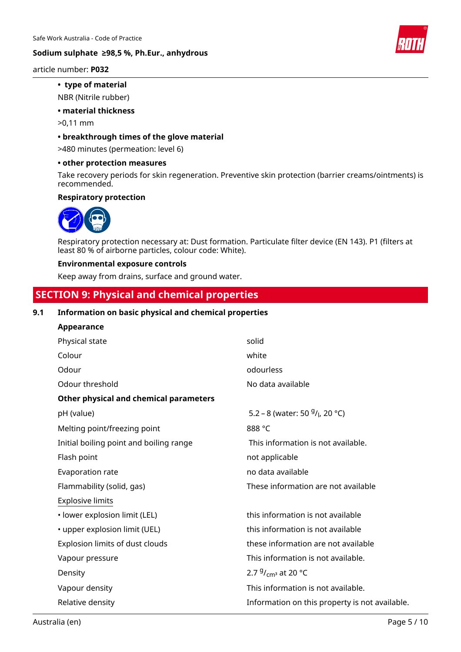

article number: **P032**

#### **• type of material**

NBR (Nitrile rubber)

#### **• material thickness**

>0,11 mm

#### **• breakthrough times of the glove material**

>480 minutes (permeation: level 6)

#### **• other protection measures**

Take recovery periods for skin regeneration. Preventive skin protection (barrier creams/ointments) is recommended.

#### **Respiratory protection**



Respiratory protection necessary at: Dust formation. Particulate filter device (EN 143). P1 (filters at least 80 % of airborne particles, colour code: White).

#### **Environmental exposure controls**

Keep away from drains, surface and ground water.

### **SECTION 9: Physical and chemical properties**

#### **9.1 Information on basic physical and chemical properties**

| Appearance                              |                                                |
|-----------------------------------------|------------------------------------------------|
| Physical state                          | solid                                          |
| Colour                                  | white                                          |
| Odour                                   | odourless                                      |
| Odour threshold                         | No data available                              |
| Other physical and chemical parameters  |                                                |
| pH (value)                              | 5.2 – 8 (water: 50 $9/$ , 20 °C)               |
| Melting point/freezing point            | 888 °C                                         |
| Initial boiling point and boiling range | This information is not available.             |
| Flash point                             | not applicable                                 |
| Evaporation rate                        | no data available                              |
| Flammability (solid, gas)               | These information are not available            |
| <b>Explosive limits</b>                 |                                                |
| · lower explosion limit (LEL)           | this information is not available              |
| • upper explosion limit (UEL)           | this information is not available              |
| Explosion limits of dust clouds         | these information are not available            |
| Vapour pressure                         | This information is not available.             |
| Density                                 | 2.7 $9/_{cm^3}$ at 20 °C                       |
| Vapour density                          | This information is not available.             |
| Relative density                        | Information on this property is not available. |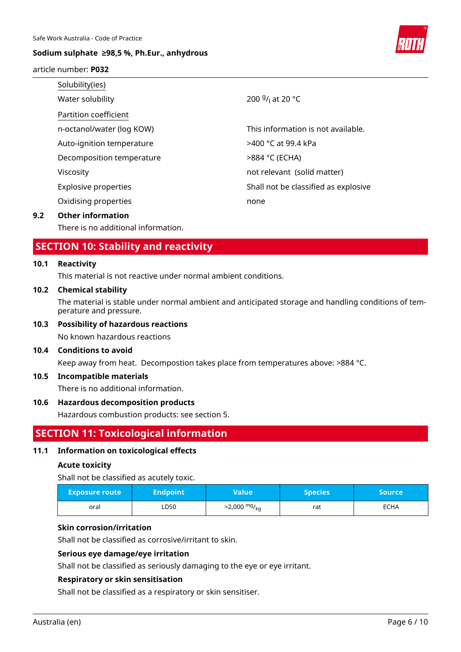

#### article number: **P032**

| Solubility(ies)             |                                          |
|-----------------------------|------------------------------------------|
| Water solubility            | 200 <sup>g</sup> / <sub>l</sub> at 20 °C |
| Partition coefficient       |                                          |
| n-octanol/water (log KOW)   | This information is not available.       |
| Auto-ignition temperature   | >400 °C at 99.4 kPa                      |
| Decomposition temperature   | >884 °C (ECHA)                           |
| Viscosity                   | not relevant (solid matter)              |
| <b>Explosive properties</b> | Shall not be classified as explosive     |
| Oxidising properties        | none                                     |
|                             |                                          |

#### **9.2 Other information**

There is no additional information.

### **SECTION 10: Stability and reactivity**

#### **10.1 Reactivity**

This material is not reactive under normal ambient conditions.

#### **10.2 Chemical stability**

The material is stable under normal ambient and anticipated storage and handling conditions of temperature and pressure.

#### **10.3 Possibility of hazardous reactions**

No known hazardous reactions

#### **10.4 Conditions to avoid**

Keep away from heat. Decompostion takes place from temperatures above: >884 °C.

#### **10.5 Incompatible materials**

There is no additional information.

#### **10.6 Hazardous decomposition products**

Hazardous combustion products: see section 5.

### **SECTION 11: Toxicological information**

#### **11.1 Information on toxicological effects**

#### **Acute toxicity**

Shall not be classified as acutely toxic.

| <b>Exposure route</b> | <b>Endpoint</b> | Value                  | <b>Species</b> | Source |
|-----------------------|-----------------|------------------------|----------------|--------|
| oral                  | LD50            | $>2,000 \frac{mg}{kg}$ | rat            | ECHA   |

#### **Skin corrosion/irritation**

Shall not be classified as corrosive/irritant to skin.

#### **Serious eye damage/eye irritation**

Shall not be classified as seriously damaging to the eye or eye irritant.

#### **Respiratory or skin sensitisation**

Shall not be classified as a respiratory or skin sensitiser.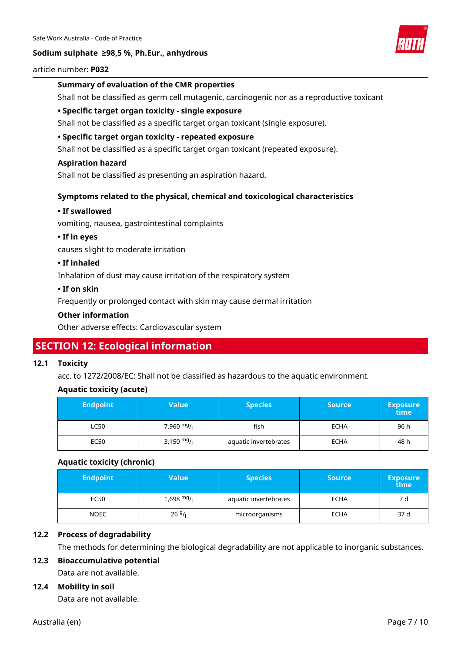

#### article number: **P032**

#### **Summary of evaluation of the CMR properties**

Shall not be classified as germ cell mutagenic, carcinogenic nor as a reproductive toxicant

#### **• Specific target organ toxicity - single exposure**

Shall not be classified as a specific target organ toxicant (single exposure).

#### **• Specific target organ toxicity - repeated exposure**

Shall not be classified as a specific target organ toxicant (repeated exposure).

#### **Aspiration hazard**

Shall not be classified as presenting an aspiration hazard.

#### **Symptoms related to the physical, chemical and toxicological characteristics**

#### **• If swallowed**

vomiting, nausea, gastrointestinal complaints

#### **• If in eyes**

causes slight to moderate irritation

#### **• If inhaled**

Inhalation of dust may cause irritation of the respiratory system

#### **• If on skin**

Frequently or prolonged contact with skin may cause dermal irritation

#### **Other information**

Other adverse effects: Cardiovascular system

## **SECTION 12: Ecological information**

#### **12.1 Toxicity**

acc. to 1272/2008/EC: Shall not be classified as hazardous to the aquatic environment.

#### **Aquatic toxicity (acute)**

| <b>Endpoint</b> | Value        | <b>Species</b>        | <b>Source</b> | <b>Exposure</b><br>time |
|-----------------|--------------|-----------------------|---------------|-------------------------|
| LC50            | 7,960 $mg/$  | fish                  | <b>ECHA</b>   | 96 h                    |
| EC50            | 3,150 $mg/1$ | aquatic invertebrates | <b>ECHA</b>   | 48 h                    |

#### **Aquatic toxicity (chronic)**

| <b>Endpoint</b> | Value        | <b>Species</b>        | <b>Source</b> | <b>Exposure</b><br>time |
|-----------------|--------------|-----------------------|---------------|-------------------------|
| EC50            | 1,698 $mg/1$ | aquatic invertebrates | <b>ECHA</b>   | 7 d                     |
| <b>NOEC</b>     | 269/1        | microorganisms        | <b>ECHA</b>   | 37 d                    |

#### **12.2 Process of degradability**

The methods for determining the biological degradability are not applicable to inorganic substances.

#### **12.3 Bioaccumulative potential**

Data are not available.

#### **12.4 Mobility in soil**

Data are not available.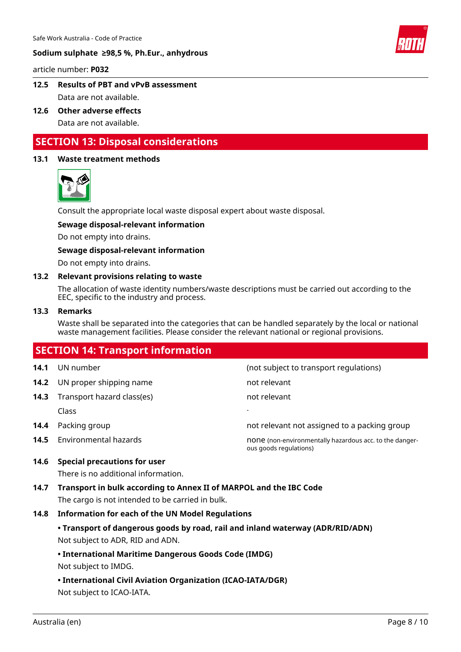

article number: **P032**

- **12.5 Results of PBT and vPvB assessment** Data are not available.
- **12.6 Other adverse effects** Data are not available.

### **SECTION 13: Disposal considerations**

#### **13.1 Waste treatment methods**



Consult the appropriate local waste disposal expert about waste disposal.

#### **Sewage disposal-relevant information**

Do not empty into drains.

#### **Sewage disposal-relevant information**

Do not empty into drains.

#### **13.2 Relevant provisions relating to waste**

The allocation of waste identity numbers/waste descriptions must be carried out according to the EEC, specific to the industry and process.

#### **13.3 Remarks**

Waste shall be separated into the categories that can be handled separately by the local or national waste management facilities. Please consider the relevant national or regional provisions.

# **SECTION 14: Transport information 14.1** UN number (not subject to transport regulations) **14.2** UN proper shipping name not relevant **14.3** Transport hazard class(es) not relevant Class - **14.4** Packing group **14.4** Packing group **not relevant not assigned to a packing group 14.5** Environmental hazards **none (non-environmentally hazardous acc. to the danger**ous goods regulations)

#### **14.6 Special precautions for user**

There is no additional information.

**14.7 Transport in bulk according to Annex II of MARPOL and the IBC Code** The cargo is not intended to be carried in bulk.

#### **14.8 Information for each of the UN Model Regulations**

**• Transport of dangerous goods by road, rail and inland waterway (ADR/RID/ADN)**

Not subject to ADR, RID and ADN.

#### **• International Maritime Dangerous Goods Code (IMDG)** Not subject to IMDG.

# **• International Civil Aviation Organization (ICAO-IATA/DGR)**

Not subject to ICAO-IATA.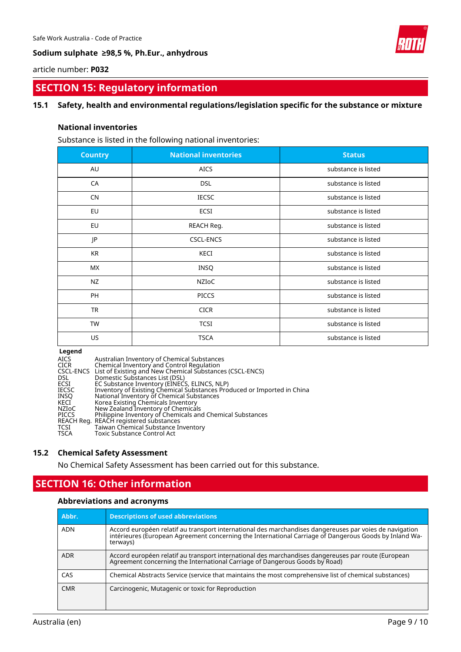

article number: **P032**

### **SECTION 15: Regulatory information**

#### **15.1 Safety, health and environmental regulations/legislation specific for the substance or mixture**

#### **National inventories**

Substance is listed in the following national inventories:

| <b>Country</b> | <b>National inventories</b> | <b>Status</b>       |
|----------------|-----------------------------|---------------------|
| AU             | <b>AICS</b>                 | substance is listed |
| CA             | <b>DSL</b>                  | substance is listed |
| <b>CN</b>      | <b>IECSC</b>                | substance is listed |
| EU             | ECSI                        | substance is listed |
| EU             | REACH Reg.                  | substance is listed |
| JP             | <b>CSCL-ENCS</b>            | substance is listed |
| <b>KR</b>      | KECI                        | substance is listed |
| МX             | INSQ                        | substance is listed |
| <b>NZ</b>      | NZIOC                       | substance is listed |
| PH             | <b>PICCS</b>                | substance is listed |
| <b>TR</b>      | <b>CICR</b>                 | substance is listed |
| <b>TW</b>      | <b>TCSI</b>                 | substance is listed |
| US.            | <b>TSCA</b>                 | substance is listed |

#### **Legend**

#### **15.2 Chemical Safety Assessment**

No Chemical Safety Assessment has been carried out for this substance.

# **SECTION 16: Other information**

#### **Abbreviations and acronyms**

| Abbr.      | <b>Descriptions of used abbreviations</b>                                                                                                                                                                                     |
|------------|-------------------------------------------------------------------------------------------------------------------------------------------------------------------------------------------------------------------------------|
| <b>ADN</b> | Accord européen relatif au transport international des marchandises dangereuses par voies de navigation<br>intérieures (European Agreement concerning the International Carriage of Dangerous Goods by Inland Wa-<br>terways) |
| <b>ADR</b> | Accord européen relatif au transport international des marchandises dangereuses par route (European<br>Agreement concerning the International Carriage of Dangerous Goods by Road)                                            |
| CAS        | Chemical Abstracts Service (service that maintains the most comprehensive list of chemical substances)                                                                                                                        |
| <b>CMR</b> | Carcinogenic, Mutagenic or toxic for Reproduction                                                                                                                                                                             |